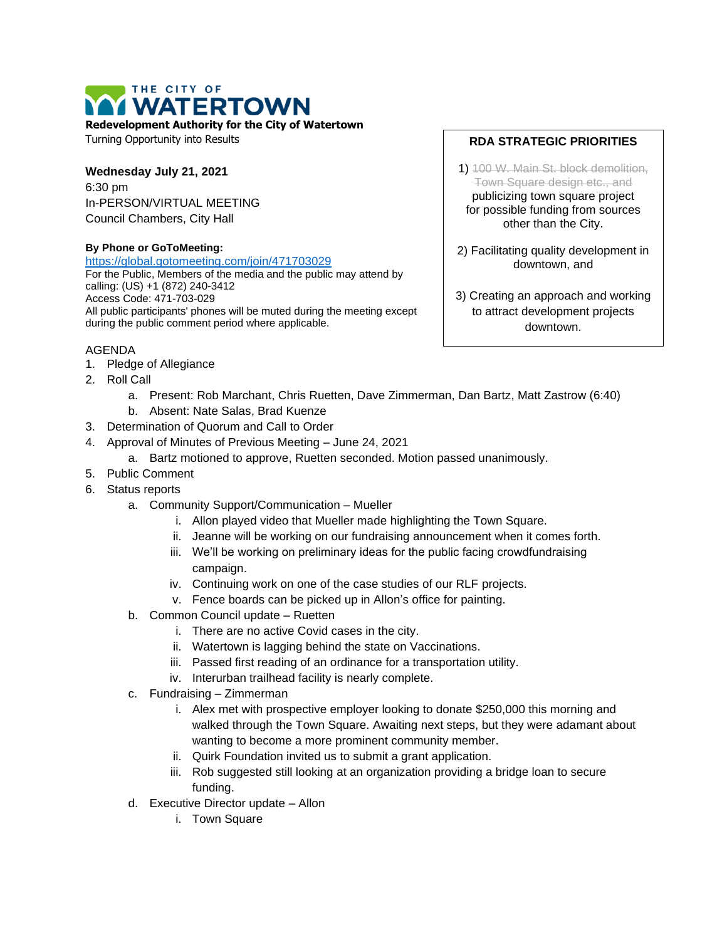## THE CITY OF **WATERTOWN**

**Redevelopment Authority for the City of Watertown**

Turning Opportunity into Results

**Wednesday July 21, 2021** 6:30 pm In-PERSON/VIRTUAL MEETING Council Chambers, City Hall

## **By Phone or GoToMeeting:**

<https://global.gotomeeting.com/join/471703029>

For the Public, Members of the media and the public may attend by calling: (US) +1 (872) 240-3412 Access Code: 471-703-029 All public participants' phones will be muted during the meeting except during the public comment period where applicable.

## AGENDA

- 1. Pledge of Allegiance
- 2. Roll Call
	- a. Present: Rob Marchant, Chris Ruetten, Dave Zimmerman, Dan Bartz, Matt Zastrow (6:40)
	- b. Absent: Nate Salas, Brad Kuenze
- 3. Determination of Quorum and Call to Order
- 4. Approval of Minutes of Previous Meeting June 24, 2021
	- a. Bartz motioned to approve, Ruetten seconded. Motion passed unanimously.
- 5. Public Comment
- 6. Status reports
	- a. Community Support/Communication Mueller
		- i. Allon played video that Mueller made highlighting the Town Square.
		- ii. Jeanne will be working on our fundraising announcement when it comes forth.
		- iii. We'll be working on preliminary ideas for the public facing crowdfundraising campaign.
		- iv. Continuing work on one of the case studies of our RLF projects.
		- v. Fence boards can be picked up in Allon's office for painting.
	- b. Common Council update Ruetten
		- i. There are no active Covid cases in the city.
		- ii. Watertown is lagging behind the state on Vaccinations.
		- iii. Passed first reading of an ordinance for a transportation utility.
		- iv. Interurban trailhead facility is nearly complete.
	- c. Fundraising Zimmerman
		- i. Alex met with prospective employer looking to donate \$250,000 this morning and walked through the Town Square. Awaiting next steps, but they were adamant about wanting to become a more prominent community member.
		- ii. Quirk Foundation invited us to submit a grant application.
		- iii. Rob suggested still looking at an organization providing a bridge loan to secure funding.
	- d. Executive Director update Allon
		- i. Town Square

## **RDA STRATEGIC PRIORITIES**

- 1) 100 W. Main St. block demolition, Town Square design etc., and publicizing town square project for possible funding from sources other than the City.
- 2) Facilitating quality development in downtown, and
- 3) Creating an approach and working to attract development projects downtown.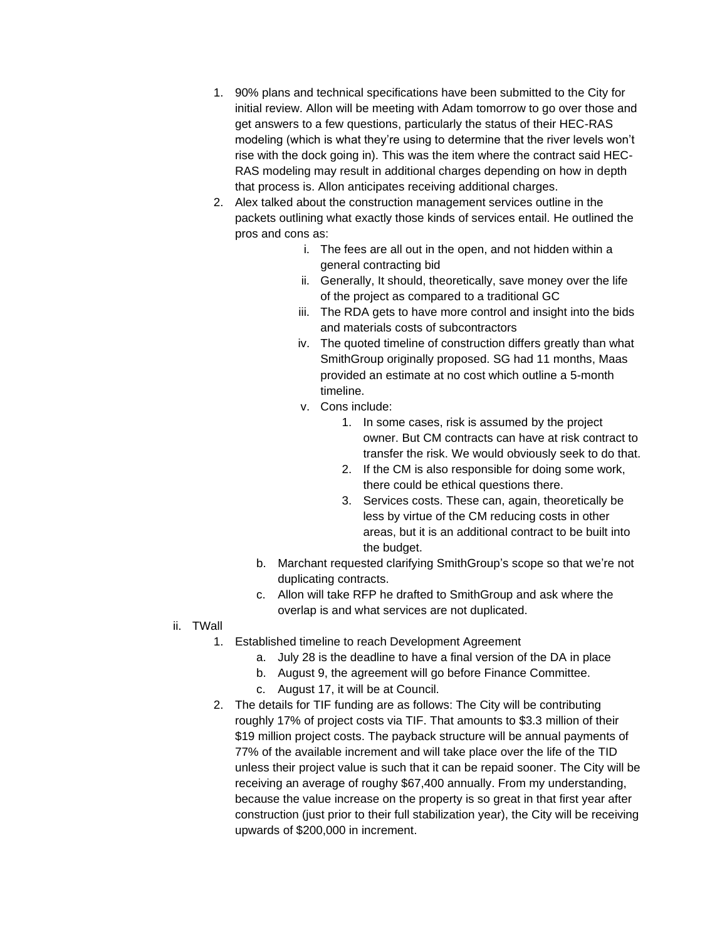- 1. 90% plans and technical specifications have been submitted to the City for initial review. Allon will be meeting with Adam tomorrow to go over those and get answers to a few questions, particularly the status of their HEC-RAS modeling (which is what they're using to determine that the river levels won't rise with the dock going in). This was the item where the contract said HEC-RAS modeling may result in additional charges depending on how in depth that process is. Allon anticipates receiving additional charges.
- 2. Alex talked about the construction management services outline in the packets outlining what exactly those kinds of services entail. He outlined the pros and cons as:
	- i. The fees are all out in the open, and not hidden within a general contracting bid
	- ii. Generally, It should, theoretically, save money over the life of the project as compared to a traditional GC
	- iii. The RDA gets to have more control and insight into the bids and materials costs of subcontractors
	- iv. The quoted timeline of construction differs greatly than what SmithGroup originally proposed. SG had 11 months, Maas provided an estimate at no cost which outline a 5-month timeline.
	- v. Cons include:
		- 1. In some cases, risk is assumed by the project owner. But CM contracts can have at risk contract to transfer the risk. We would obviously seek to do that.
		- 2. If the CM is also responsible for doing some work, there could be ethical questions there.
		- 3. Services costs. These can, again, theoretically be less by virtue of the CM reducing costs in other areas, but it is an additional contract to be built into the budget.
	- b. Marchant requested clarifying SmithGroup's scope so that we're not duplicating contracts.
	- c. Allon will take RFP he drafted to SmithGroup and ask where the overlap is and what services are not duplicated.
- ii. TWall
	- 1. Established timeline to reach Development Agreement
		- a. July 28 is the deadline to have a final version of the DA in place
		- b. August 9, the agreement will go before Finance Committee.
		- c. August 17, it will be at Council.
	- 2. The details for TIF funding are as follows: The City will be contributing roughly 17% of project costs via TIF. That amounts to \$3.3 million of their \$19 million project costs. The payback structure will be annual payments of 77% of the available increment and will take place over the life of the TID unless their project value is such that it can be repaid sooner. The City will be receiving an average of roughy \$67,400 annually. From my understanding, because the value increase on the property is so great in that first year after construction (just prior to their full stabilization year), the City will be receiving upwards of \$200,000 in increment.